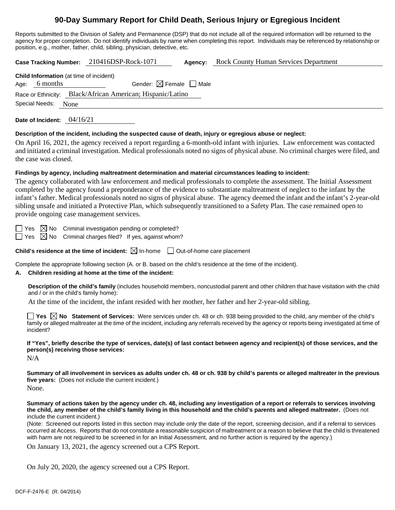# **90-Day Summary Report for Child Death, Serious Injury or Egregious Incident**

Reports submitted to the Division of Safety and Permanence (DSP) that do not include all of the required information will be returned to the agency for proper completion. Do not identify individuals by name when completing this report. Individuals may be referenced by relationship or position, e.g., mother, father, child, sibling, physician, detective, etc.

**Case Tracking Number:** 210416DSP-Rock-1071 **Agency:** Rock County Human Services Department

**Child Information** (at time of incident) Age: 6 months Gender:  $\boxtimes$  Female  $\Box$  Male Race or Ethnicity: Black/African American; Hispanic/Latino Special Needs: None

**Date of Incident:** 04/16/21

### **Description of the incident, including the suspected cause of death, injury or egregious abuse or neglect:**

On April 16, 2021, the agency received a report regarding a 6-month-old infant with injuries. Law enforcement was contacted and initiated a criminal investigation. Medical professionals noted no signs of physical abuse. No criminal charges were filed, and the case was closed.

## **Findings by agency, including maltreatment determination and material circumstances leading to incident:**

The agency collaborated with law enforcement and medical professionals to complete the assessment. The Initial Assessment completed by the agency found a preponderance of the evidence to substantiate maltreatment of neglect to the infant by the infant's father. Medical professionals noted no signs of physical abuse. The agency deemed the infant and the infant's 2-year-old sibling unsafe and initiated a Protective Plan, which subsequently transitioned to a Safety Plan. The case remained open to provide ongoing case management services.

 $\Box$  Yes  $\boxtimes$  No Criminal investigation pending or completed?

 $\Box$  Yes  $\boxtimes$  No Criminal charges filed? If yes, against whom?

**Child's residence at the time of incident:**  $\boxtimes$  In-home  $\Box$  Out-of-home care placement

Complete the appropriate following section (A. or B. based on the child's residence at the time of the incident).

# **A. Children residing at home at the time of the incident:**

**Description of the child's family** (includes household members, noncustodial parent and other children that have visitation with the child and / or in the child's family home):

At the time of the incident, the infant resided with her mother, her father and her 2-year-old sibling.

**Yes No Statement of Services:** Were services under ch. 48 or ch. 938 being provided to the child, any member of the child's family or alleged maltreater at the time of the incident, including any referrals received by the agency or reports being investigated at time of incident?

**If "Yes", briefly describe the type of services, date(s) of last contact between agency and recipient(s) of those services, and the person(s) receiving those services:**

N/A

**Summary of all involvement in services as adults under ch. 48 or ch. 938 by child's parents or alleged maltreater in the previous five years:** (Does not include the current incident.) None.

**Summary of actions taken by the agency under ch. 48, including any investigation of a report or referrals to services involving the child, any member of the child's family living in this household and the child's parents and alleged maltreater.** (Does not include the current incident.)

(Note: Screened out reports listed in this section may include only the date of the report, screening decision, and if a referral to services occurred at Access. Reports that do not constitute a reasonable suspicion of maltreatment or a reason to believe that the child is threatened with harm are not required to be screened in for an Initial Assessment, and no further action is required by the agency.)

On January 13, 2021, the agency screened out a CPS Report.

On July 20, 2020, the agency screened out a CPS Report.